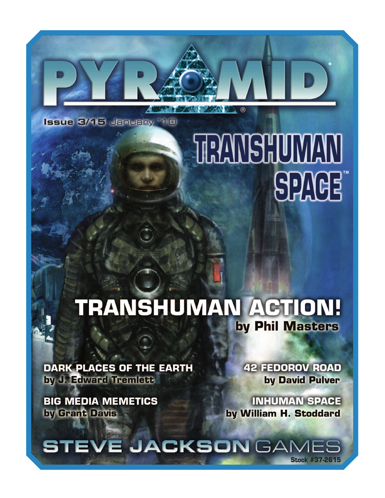**Issue 3/15 January '10** 

## **RANSHUMAN SPAGE**

 $M$ 

## **TRANSHUMAN ACTION!** by Phil Masters

**DARK PLACES OF THE EARTH** by J. Edward Tremlett

**BIG MEDIA MEMETICS** by Grant Davis

**42 FEDOROV ROAD** by David Pulver

**INHUMAN SPACE** by William H. Stoddard

**STEVE JACKSON GAMES Stock #37-2615**